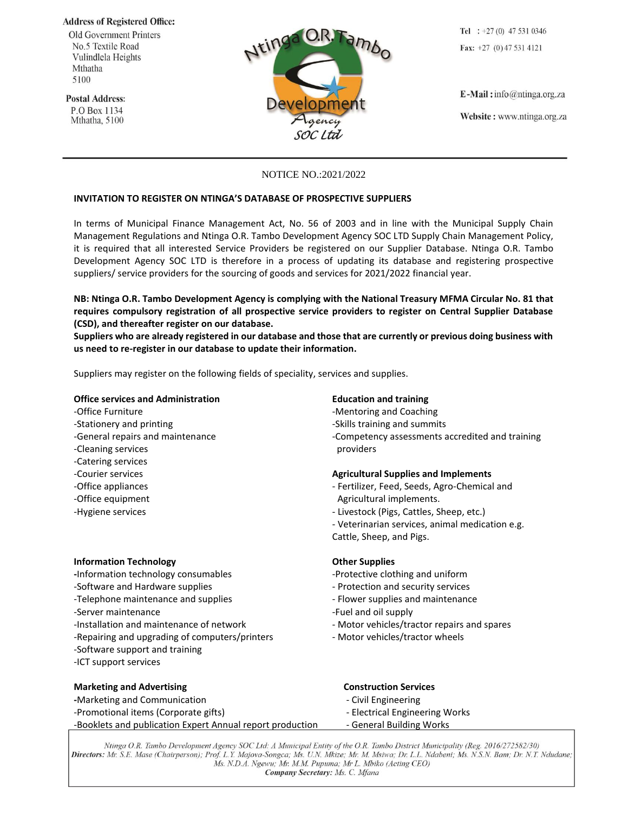**Address of Registered Office:** 

**Old Government Printers** No.5 Textile Road Vulindlela Heights Mthatha 5100

**Postal Address:** 

P.O Box 1134 Mthatha, 5100



Tel :  $+27(0)$  47 531 0346 Fax:  $+27$  (0) 47 531 4121

 $E$ -Mail: info@ntinga.org.za

Website: www.ntinga.org.za

# NOTICE NO.:2021/2022

## **INVITATION TO REGISTER ON NTINGA'S DATABASE OF PROSPECTIVE SUPPLIERS**

In terms of Municipal Finance Management Act, No. 56 of 2003 and in line with the Municipal Supply Chain Management Regulations and Ntinga O.R. Tambo Development Agency SOC LTD Supply Chain Management Policy, it is required that all interested Service Providers be registered on our Supplier Database. Ntinga O.R. Tambo Development Agency SOC LTD is therefore in a process of updating its database and registering prospective suppliers/ service providers for the sourcing of goods and services for 2021/2022 financial year.

**NB: Ntinga O.R. Tambo Development Agency is complying with the National Treasury MFMA Circular No. 81 that requires compulsory registration of all prospective service providers to register on Central Supplier Database (CSD), and thereafter register on our database.**

**Suppliers who are already registered in our database and those that are currently or previous doing business with us need to re-register in our database to update their information.** 

Suppliers may register on the following fields of speciality, services and supplies.

## **Office services and Administration Education and training**

-Office Furniture  $\blacksquare$  -Mentoring and Coaching -Stationery and printing -Skills training and summits -Cleaning services **providers** and the services providers -Catering services -Office equipment **Agricultural implements**.

## **Information Technology Changes Other Supplies**

- **-**Information technology consumables -Protective clothing and uniform
- -Software and Hardware supplies Protection and security services
- -Telephone maintenance and supplies Telephone maintenance Flower supplies and maintenance
- -Server maintenance and the server maintenance of the server and off supply server and oil supply
- 
- -Repairing and upgrading of computers/printers Motor vehicles/tractor wheels
- -Software support and training
- -ICT support services

### **Marketing and Advertising Construction Services** Construction Services

- **-Marketing and Communication**  $\qquad \qquad$  Civil Engineering
- -Promotional items (Corporate gifts) Flectrical Engineering Works
- -Booklets and publication Expert Annual report production General Building Works

- 
- 
- -General repairs and maintenance  $\blacksquare$  -Competency assessments accredited and training

### -Courier services **Agricultural Supplies and Implements**

- -Office appliances and the settle of the Fertilizer, Feed, Seeds, Agro-Chemical and
- -Hygiene services Livestock (Pigs, Cattles, Sheep, etc.)
	- Veterinarian services, animal medication e.g.
	- Cattle, Sheep, and Pigs.

- 
- 
- 
- 
- -Installation and maintenance of network Motor vehicles/tractor repairs and spares
	-

- 
- 
- 

Ntinga O.R. Tambo Development Agency SOC Ltd: A Municipal Entity of the O.R. Tambo District Municipality (Reg. 2016/272582/30) Directors: Mr. S.E. Mase (Chairperson); Prof. L.Y. Majova-Songca; Ms. U.N. Mkize; Mr. M. Msiwa; Dr. L.L. Ndabeni; Ms. N.S.N. Bam; Dr. N.T. Ndudane; Ms. N.D.A. Ngewu; Mr. M.M. Pupuma; Mr L. Mbiko (Acting CEO) Company Secretary: Ms. C. Mfana